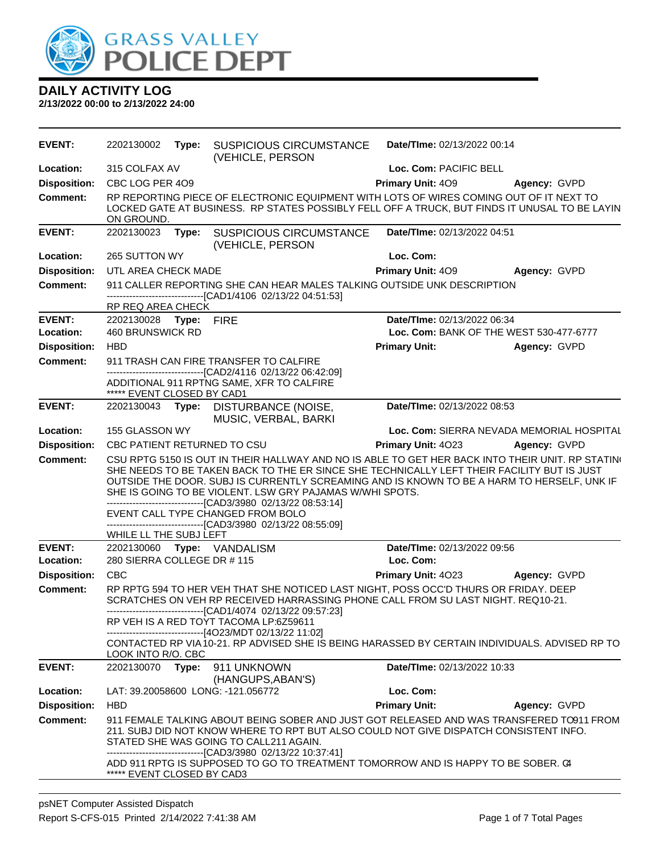

| <b>EVENT:</b>       | 2202130002                                                                                                                                                                                            |       | <b>Type: SUSPICIOUS CIRCUMSTANCE</b><br>(VEHICLE, PERSON                                                                                                                                                                                                                                                                                                                                                                  |                             | Date/TIme: 02/13/2022 00:14 |                                                                                                  |  |
|---------------------|-------------------------------------------------------------------------------------------------------------------------------------------------------------------------------------------------------|-------|---------------------------------------------------------------------------------------------------------------------------------------------------------------------------------------------------------------------------------------------------------------------------------------------------------------------------------------------------------------------------------------------------------------------------|-----------------------------|-----------------------------|--------------------------------------------------------------------------------------------------|--|
| Location:           | 315 COLFAX AV                                                                                                                                                                                         |       |                                                                                                                                                                                                                                                                                                                                                                                                                           |                             | Loc. Com: PACIFIC BELL      |                                                                                                  |  |
| <b>Disposition:</b> | CBC LOG PER 409                                                                                                                                                                                       |       |                                                                                                                                                                                                                                                                                                                                                                                                                           |                             | <b>Primary Unit: 409</b>    | Agency: GVPD                                                                                     |  |
| <b>Comment:</b>     | RP REPORTING PIECE OF ELECTRONIC EQUIPMENT WITH LOTS OF WIRES COMING OUT OF IT NEXT TO<br>LOCKED GATE AT BUSINESS. RP STATES POSSIBLY FELL OFF A TRUCK, BUT FINDS IT UNUSAL TO BE LAYIN<br>ON GROUND. |       |                                                                                                                                                                                                                                                                                                                                                                                                                           |                             |                             |                                                                                                  |  |
| <b>EVENT:</b>       | 2202130023 Type:                                                                                                                                                                                      |       | <b>SUSPICIOUS CIRCUMSTANCE</b><br>(VEHICLE, PERSON                                                                                                                                                                                                                                                                                                                                                                        |                             | Date/TIme: 02/13/2022 04:51 |                                                                                                  |  |
| Location:           | 265 SUTTON WY                                                                                                                                                                                         |       |                                                                                                                                                                                                                                                                                                                                                                                                                           |                             | Loc. Com:                   |                                                                                                  |  |
| <b>Disposition:</b> | UTL AREA CHECK MADE                                                                                                                                                                                   |       |                                                                                                                                                                                                                                                                                                                                                                                                                           |                             | <b>Primary Unit: 409</b>    | Agency: GVPD                                                                                     |  |
| <b>Comment:</b>     |                                                                                                                                                                                                       |       | 911 CALLER REPORTING SHE CAN HEAR MALES TALKING OUTSIDE UNK DESCRIPTION                                                                                                                                                                                                                                                                                                                                                   |                             |                             |                                                                                                  |  |
|                     |                                                                                                                                                                                                       |       | --------------------------------[CAD1/4106 02/13/22 04:51:53]                                                                                                                                                                                                                                                                                                                                                             |                             |                             |                                                                                                  |  |
| <b>EVENT:</b>       | RP REQ AREA CHECK<br>2202130028 Type: FIRE                                                                                                                                                            |       |                                                                                                                                                                                                                                                                                                                                                                                                                           |                             | Date/TIme: 02/13/2022 06:34 |                                                                                                  |  |
| Location:           | 460 BRUNSWICK RD                                                                                                                                                                                      |       |                                                                                                                                                                                                                                                                                                                                                                                                                           |                             |                             | Loc. Com: BANK OF THE WEST 530-477-6777                                                          |  |
| <b>Disposition:</b> | <b>HBD</b>                                                                                                                                                                                            |       |                                                                                                                                                                                                                                                                                                                                                                                                                           |                             | <b>Primary Unit:</b>        | Agency: GVPD                                                                                     |  |
| <b>Comment:</b>     |                                                                                                                                                                                                       |       | 911 TRASH CAN FIRE TRANSFER TO CALFIRE                                                                                                                                                                                                                                                                                                                                                                                    |                             |                             |                                                                                                  |  |
|                     | ***** EVENT CLOSED BY CAD1                                                                                                                                                                            |       | ---------------------------------[CAD2/4116 02/13/22 06:42:09]<br>ADDITIONAL 911 RPTNG SAME, XFR TO CALFIRE                                                                                                                                                                                                                                                                                                               |                             |                             |                                                                                                  |  |
| <b>EVENT:</b>       |                                                                                                                                                                                                       |       | 2202130043 Type: DISTURBANCE (NOISE,<br>MUSIC, VERBAL, BARKI                                                                                                                                                                                                                                                                                                                                                              |                             | Date/TIme: 02/13/2022 08:53 |                                                                                                  |  |
| Location:           | 155 GLASSON WY                                                                                                                                                                                        |       |                                                                                                                                                                                                                                                                                                                                                                                                                           |                             |                             | Loc. Com: SIERRA NEVADA MEMORIAL HOSPITAL                                                        |  |
| <b>Disposition:</b> | CBC PATIENT RETURNED TO CSU                                                                                                                                                                           |       |                                                                                                                                                                                                                                                                                                                                                                                                                           |                             | <b>Primary Unit: 4023</b>   | Agency: GVPD                                                                                     |  |
| <b>Comment:</b>     | WHILE LL THE SUBJ LEFT                                                                                                                                                                                |       | SHE NEEDS TO BE TAKEN BACK TO THE ER SINCE SHE TECHNICALLY LEFT THEIR FACILITY BUT IS JUST<br>OUTSIDE THE DOOR. SUBJ IS CURRENTLY SCREAMING AND IS KNOWN TO BE A HARM TO HERSELF, UNK IF<br>SHE IS GOING TO BE VIOLENT. LSW GRY PAJAMAS W/WHI SPOTS.<br>--------------------------------[CAD3/3980 02/13/22 08:53:14]<br>EVENT CALL TYPE CHANGED FROM BOLO<br>------------------------------[CAD3/3980 02/13/22 08:55:09] |                             |                             | CSU RPTG 5150 IS OUT IN THEIR HALLWAY AND NO IS ABLE TO GET HER BACK INTO THEIR UNIT. RP STATING |  |
| <b>EVENT:</b>       |                                                                                                                                                                                                       |       | 2202130060 Type: VANDALISM                                                                                                                                                                                                                                                                                                                                                                                                |                             | Date/TIme: 02/13/2022 09:56 |                                                                                                  |  |
| Location:           | 280 SIERRA COLLEGE DR # 115                                                                                                                                                                           |       |                                                                                                                                                                                                                                                                                                                                                                                                                           |                             | Loc. Com:                   |                                                                                                  |  |
| <b>Disposition:</b> | <b>CBC</b>                                                                                                                                                                                            |       |                                                                                                                                                                                                                                                                                                                                                                                                                           |                             | <b>Primary Unit: 4023</b>   | Agency: GVPD                                                                                     |  |
| <b>Comment:</b>     |                                                                                                                                                                                                       |       | RP RPTG 594 TO HER VEH THAT SHE NOTICED LAST NIGHT, POSS OCC'D THURS OR FRIDAY. DEEP<br>SCRATCHES ON VEH RP RECEIVED HARRASSING PHONE CALL FROM SU LAST NIGHT. REQ10-21.<br>-------------------------------[CAD1/4074 02/13/22 09:57:23]<br>RP VEH IS A RED TOYT TACOMA LP:6Z59611<br>-------------------------------[4O23/MDT 02/13/22 11:02]                                                                            |                             |                             | CONTACTED RP VIA 10-21. RP ADVISED SHE IS BEING HARASSED BY CERTAIN INDIVIDUALS. ADVISED RP TO   |  |
|                     | LOOK INTO R/O. CBC                                                                                                                                                                                    |       |                                                                                                                                                                                                                                                                                                                                                                                                                           |                             |                             |                                                                                                  |  |
| <b>EVENT:</b>       | 2202130070                                                                                                                                                                                            | Type: | 911 UNKNOWN<br>(HANGUPS, ABAN'S)                                                                                                                                                                                                                                                                                                                                                                                          | Date/TIme: 02/13/2022 10:33 |                             |                                                                                                  |  |
| Location:           |                                                                                                                                                                                                       |       | LAT: 39.20058600 LONG: -121.056772                                                                                                                                                                                                                                                                                                                                                                                        |                             | Loc. Com:                   |                                                                                                  |  |
| <b>Disposition:</b> | <b>HBD</b>                                                                                                                                                                                            |       |                                                                                                                                                                                                                                                                                                                                                                                                                           |                             | <b>Primary Unit:</b>        | Agency: GVPD                                                                                     |  |
| <b>Comment:</b>     |                                                                                                                                                                                                       |       | 211. SUBJ DID NOT KNOW WHERE TO RPT BUT ALSO COULD NOT GIVE DISPATCH CONSISTENT INFO.<br>STATED SHE WAS GOING TO CALL211 AGAIN.<br>------------------------[CAD3/3980_02/13/22 10:37:41]                                                                                                                                                                                                                                  |                             |                             | 911 FEMALE TALKING ABOUT BEING SOBER AND JUST GOT RELEASED AND WAS TRANSFERED TO911 FROM         |  |
|                     | ***** EVENT CLOSED BY CAD3                                                                                                                                                                            |       | ADD 911 RPTG IS SUPPOSED TO GO TO TREATMENT TOMORROW AND IS HAPPY TO BE SOBER. C4                                                                                                                                                                                                                                                                                                                                         |                             |                             |                                                                                                  |  |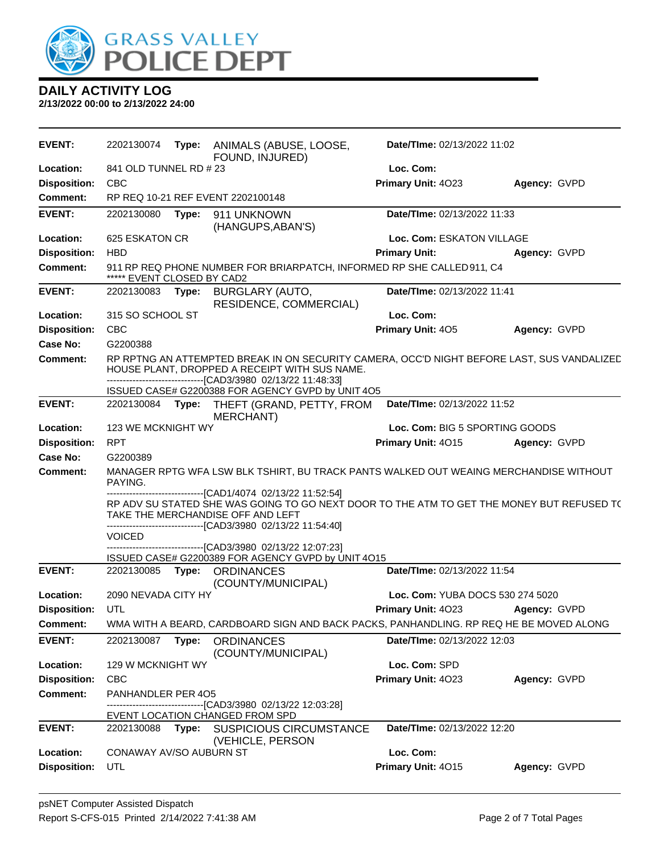

| <b>EVENT:</b>       | 2202130074                                                                   | Type: | ANIMALS (ABUSE, LOOSE,<br>FOUND, INJURED)                                                                                                                                                                    | Date/TIme: 02/13/2022 11:02      |              |
|---------------------|------------------------------------------------------------------------------|-------|--------------------------------------------------------------------------------------------------------------------------------------------------------------------------------------------------------------|----------------------------------|--------------|
| Location:           | 841 OLD TUNNEL RD #23                                                        |       |                                                                                                                                                                                                              | Loc. Com:                        |              |
| <b>Disposition:</b> | <b>CBC</b>                                                                   |       |                                                                                                                                                                                                              | Primary Unit: 4023               | Agency: GVPD |
| Comment:            |                                                                              |       | RP REQ 10-21 REF EVENT 2202100148                                                                                                                                                                            |                                  |              |
| <b>EVENT:</b>       | 2202130080                                                                   | Type: | 911 UNKNOWN<br>(HANGUPS, ABAN'S)                                                                                                                                                                             | Date/TIme: 02/13/2022 11:33      |              |
| Location:           | 625 ESKATON CR                                                               |       |                                                                                                                                                                                                              | Loc. Com: ESKATON VILLAGE        |              |
| <b>Disposition:</b> | <b>HBD</b>                                                                   |       |                                                                                                                                                                                                              | <b>Primary Unit:</b>             | Agency: GVPD |
| <b>Comment:</b>     | ***** EVENT CLOSED BY CAD2                                                   |       | 911 RP REQ PHONE NUMBER FOR BRIARPATCH, INFORMED RP SHE CALLED 911, C4                                                                                                                                       |                                  |              |
| <b>EVENT:</b>       | 2202130083                                                                   | Type: | BURGLARY (AUTO,<br>RESIDENCE, COMMERCIAL)                                                                                                                                                                    | Date/TIme: 02/13/2022 11:41      |              |
| Location:           | 315 SO SCHOOL ST                                                             |       |                                                                                                                                                                                                              | Loc. Com:                        |              |
| <b>Disposition:</b> | <b>CBC</b>                                                                   |       |                                                                                                                                                                                                              | Primary Unit: 405                | Agency: GVPD |
| Case No:            | G2200388                                                                     |       |                                                                                                                                                                                                              |                                  |              |
| Comment:            |                                                                              |       | RP RPTNG AN ATTEMPTED BREAK IN ON SECURITY CAMERA, OCC'D NIGHT BEFORE LAST, SUS VANDALIZED<br>HOUSE PLANT, DROPPED A RECEIPT WITH SUS NAME.<br>--------------------------------[CAD3/3980 02/13/22 11:48:33] |                                  |              |
|                     |                                                                              |       | ISSUED CASE# G2200388 FOR AGENCY GVPD by UNIT 4O5                                                                                                                                                            |                                  |              |
| <b>EVENT:</b>       | 2202130084 Type:                                                             |       | THEFT (GRAND, PETTY, FROM<br><b>MERCHANT)</b>                                                                                                                                                                | Date/TIme: 02/13/2022 11:52      |              |
| Location:           | 123 WE MCKNIGHT WY                                                           |       |                                                                                                                                                                                                              | Loc. Com: BIG 5 SPORTING GOODS   |              |
| <b>Disposition:</b> | <b>RPT</b>                                                                   |       |                                                                                                                                                                                                              | Primary Unit: 4015               | Agency: GVPD |
| Case No:            | G2200389                                                                     |       |                                                                                                                                                                                                              |                                  |              |
| <b>Comment:</b>     | PAYING.                                                                      |       | MANAGER RPTG WFA LSW BLK TSHIRT, BU TRACK PANTS WALKED OUT WEAING MERCHANDISE WITHOUT<br>-------------------------------[CAD1/4074 02/13/22 11:52:54]                                                        |                                  |              |
|                     |                                                                              |       | RP ADV SU STATED SHE WAS GOING TO GO NEXT DOOR TO THE ATM TO GET THE MONEY BUT REFUSED T(<br>TAKE THE MERCHANDISE OFF AND LEFT<br>-------------------------------[CAD3/3980 02/13/22 11:54:40]               |                                  |              |
|                     | <b>VOICED</b>                                                                |       |                                                                                                                                                                                                              |                                  |              |
|                     |                                                                              |       | ---------------------------[CAD3/3980_02/13/22 12:07:23]<br>ISSUED CASE# G2200389 FOR AGENCY GVPD by UNIT 4O15                                                                                               |                                  |              |
| <b>EVENT:</b>       |                                                                              |       | 2202130085 Type: ORDINANCES                                                                                                                                                                                  | Date/TIme: 02/13/2022 11:54      |              |
| Location:           | 2090 NEVADA CITY HY                                                          |       | (COUNTY/MUNICIPAL)                                                                                                                                                                                           | Loc. Com: YUBA DOCS 530 274 5020 |              |
| <b>Disposition:</b> | UTL                                                                          |       |                                                                                                                                                                                                              | Primary Unit: 4023               | Agency: GVPD |
| <b>Comment:</b>     |                                                                              |       | WMA WITH A BEARD, CARDBOARD SIGN AND BACK PACKS, PANHANDLING. RP REQ HE BE MOVED ALONG                                                                                                                       |                                  |              |
| <b>EVENT:</b>       | 2202130087                                                                   | Type: | <b>ORDINANCES</b>                                                                                                                                                                                            | Date/TIme: 02/13/2022 12:03      |              |
|                     |                                                                              |       | (COUNTY/MUNICIPAL)                                                                                                                                                                                           |                                  |              |
| Location:           | 129 W MCKNIGHT WY                                                            |       |                                                                                                                                                                                                              | Loc. Com: SPD                    |              |
| <b>Disposition:</b> | <b>CBC</b>                                                                   |       |                                                                                                                                                                                                              | Primary Unit: 4023               | Agency: GVPD |
| <b>Comment:</b>     | PANHANDLER PER 405<br>-------------------------[CAD3/3980_02/13/22_12:03:28] |       |                                                                                                                                                                                                              |                                  |              |
|                     |                                                                              |       | EVENT LOCATION CHANGED FROM SPD                                                                                                                                                                              |                                  |              |
| <b>EVENT:</b>       | 2202130088                                                                   | Type: | <b>SUSPICIOUS CIRCUMSTANCE</b><br>(VEHICLE, PERSON                                                                                                                                                           | Date/TIme: 02/13/2022 12:20      |              |
| Location:           | CONAWAY AV/SO AUBURN ST                                                      |       |                                                                                                                                                                                                              | Loc. Com:                        |              |
| <b>Disposition:</b> | UTL                                                                          |       |                                                                                                                                                                                                              | Primary Unit: 4015               | Agency: GVPD |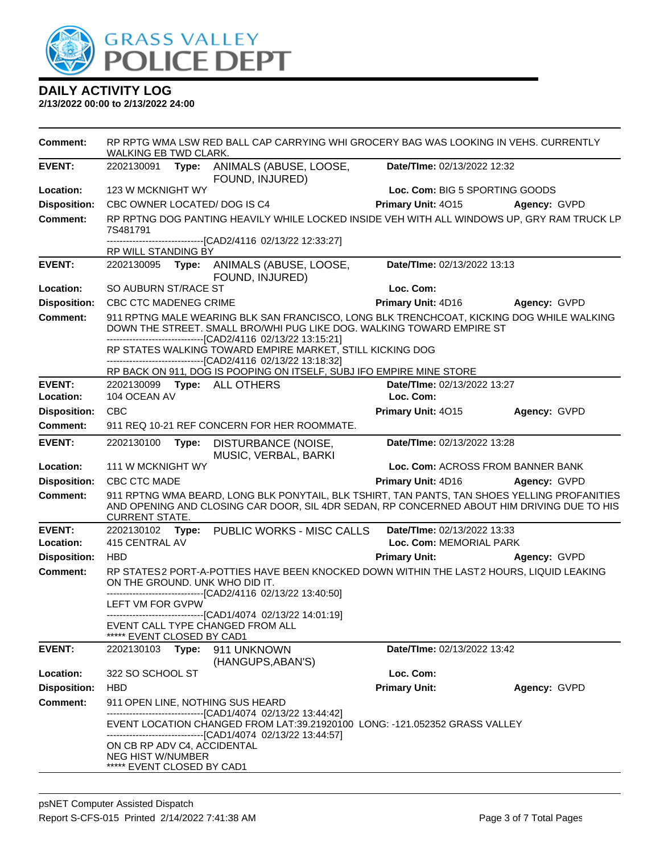

| <b>Comment:</b>     | WALKING EB TWD CLARK.                                                                                                                                                                                                             | RP RPTG WMA LSW RED BALL CAP CARRYING WHI GROCERY BAG WAS LOOKING IN VEHS. CURRENTLY                                                                                                                        |                                    |              |  |
|---------------------|-----------------------------------------------------------------------------------------------------------------------------------------------------------------------------------------------------------------------------------|-------------------------------------------------------------------------------------------------------------------------------------------------------------------------------------------------------------|------------------------------------|--------------|--|
| <b>EVENT:</b>       | 2202130091 Type: ANIMALS (ABUSE, LOOSE,<br>Date/TIme: 02/13/2022 12:32<br>FOUND, INJURED)                                                                                                                                         |                                                                                                                                                                                                             |                                    |              |  |
| Location:           | 123 W MCKNIGHT WY                                                                                                                                                                                                                 |                                                                                                                                                                                                             | Loc. Com: BIG 5 SPORTING GOODS     |              |  |
| <b>Disposition:</b> | CBC OWNER LOCATED/ DOG IS C4                                                                                                                                                                                                      |                                                                                                                                                                                                             | Primary Unit: 4015                 | Agency: GVPD |  |
| <b>Comment:</b>     | RP RPTNG DOG PANTING HEAVILY WHILE LOCKED INSIDE VEH WITH ALL WINDOWS UP, GRY RAM TRUCK LP<br>7S481791                                                                                                                            |                                                                                                                                                                                                             |                                    |              |  |
|                     | RP WILL STANDING BY                                                                                                                                                                                                               | -------------------------------[CAD2/4116 02/13/22 12:33:27]                                                                                                                                                |                                    |              |  |
| <b>EVENT:</b>       | 2202130095                                                                                                                                                                                                                        | Type: ANIMALS (ABUSE, LOOSE,                                                                                                                                                                                | Date/TIme: 02/13/2022 13:13        |              |  |
|                     |                                                                                                                                                                                                                                   | FOUND, INJURED)                                                                                                                                                                                             |                                    |              |  |
| Location:           | SO AUBURN ST/RACE ST                                                                                                                                                                                                              |                                                                                                                                                                                                             | Loc. Com:                          |              |  |
| <b>Disposition:</b> | CBC CTC MADENEG CRIME                                                                                                                                                                                                             |                                                                                                                                                                                                             | Primary Unit: 4D16                 | Agency: GVPD |  |
| <b>Comment:</b>     | 911 RPTNG MALE WEARING BLK SAN FRANCISCO, LONG BLK TRENCHCOAT, KICKING DOG WHILE WALKING<br>DOWN THE STREET. SMALL BRO/WHI PUG LIKE DOG. WALKING TOWARD EMPIRE ST<br>-------------------------------[CAD2/4116 02/13/22 13:15:21] |                                                                                                                                                                                                             |                                    |              |  |
|                     |                                                                                                                                                                                                                                   | RP STATES WALKING TOWARD EMPIRE MARKET, STILL KICKING DOG<br>-------------------------------[CAD2/4116 02/13/22 13:18:32]                                                                                   |                                    |              |  |
|                     |                                                                                                                                                                                                                                   | RP BACK ON 911, DOG IS POOPING ON ITSELF, SUBJ IFO EMPIRE MINE STORE                                                                                                                                        |                                    |              |  |
| <b>EVENT:</b>       | 2202130099 Type: ALL OTHERS                                                                                                                                                                                                       |                                                                                                                                                                                                             | <b>Date/Time: 02/13/2022 13:27</b> |              |  |
| Location:           | 104 OCEAN AV                                                                                                                                                                                                                      |                                                                                                                                                                                                             | Loc. Com:                          |              |  |
| <b>Disposition:</b> | <b>CBC</b>                                                                                                                                                                                                                        |                                                                                                                                                                                                             | Primary Unit: 4015                 | Agency: GVPD |  |
| Comment:            |                                                                                                                                                                                                                                   | 911 REQ 10-21 REF CONCERN FOR HER ROOMMATE.                                                                                                                                                                 |                                    |              |  |
| <b>EVENT:</b>       | 2202130100<br>Type:                                                                                                                                                                                                               | DISTURBANCE (NOISE,<br>MUSIC, VERBAL, BARKI                                                                                                                                                                 | Date/TIme: 02/13/2022 13:28        |              |  |
| Location:           | 111 W MCKNIGHT WY                                                                                                                                                                                                                 |                                                                                                                                                                                                             | Loc. Com: ACROSS FROM BANNER BANK  |              |  |
| <b>Disposition:</b> | CBC CTC MADE                                                                                                                                                                                                                      |                                                                                                                                                                                                             | <b>Primary Unit: 4D16</b>          | Agency: GVPD |  |
| <b>Comment:</b>     | <b>CURRENT STATE.</b>                                                                                                                                                                                                             | 911 RPTNG WMA BEARD, LONG BLK PONYTAIL, BLK TSHIRT, TAN PANTS, TAN SHOES YELLING PROFANITIES<br>AND OPENING AND CLOSING CAR DOOR, SIL 4DR SEDAN, RP CONCERNED ABOUT HIM DRIVING DUE TO HIS                  |                                    |              |  |
| <b>EVENT:</b>       | 2202130102                                                                                                                                                                                                                        | Type: PUBLIC WORKS - MISC CALLS                                                                                                                                                                             | Date/TIme: 02/13/2022 13:33        |              |  |
| Location:           | 415 CENTRAL AV                                                                                                                                                                                                                    |                                                                                                                                                                                                             | Loc. Com: MEMORIAL PARK            |              |  |
| <b>Disposition:</b> | <b>HBD</b>                                                                                                                                                                                                                        |                                                                                                                                                                                                             | <b>Primary Unit:</b>               | Agency: GVPD |  |
| Comment:            | ON THE GROUND. UNK WHO DID IT.                                                                                                                                                                                                    | RP STATES2 PORT-A-POTTIES HAVE BEEN KNOCKED DOWN WITHIN THE LAST2 HOURS, LIQUID LEAKING<br>----------------------[CAD2/4116 02/13/22 13:40:50]                                                              |                                    |              |  |
|                     | LEFT VM FOR GVPW                                                                                                                                                                                                                  |                                                                                                                                                                                                             |                                    |              |  |
|                     | EVENT CALL TYPE CHANGED FROM ALL<br>***** EVENT CLOSED BY CAD1                                                                                                                                                                    | --------------------------[CAD1/4074 02/13/22 14:01:19]                                                                                                                                                     |                                    |              |  |
| <b>EVENT:</b>       | 2202130103                                                                                                                                                                                                                        | Type: 911 UNKNOWN                                                                                                                                                                                           | Date/TIme: 02/13/2022 13:42        |              |  |
| Location:           | 322 SO SCHOOL ST                                                                                                                                                                                                                  | (HANGUPS, ABAN'S)                                                                                                                                                                                           | Loc. Com:                          |              |  |
| <b>Disposition:</b> | <b>HBD</b>                                                                                                                                                                                                                        |                                                                                                                                                                                                             | <b>Primary Unit:</b>               | Agency: GVPD |  |
| <b>Comment:</b>     | 911 OPEN LINE, NOTHING SUS HEARD                                                                                                                                                                                                  |                                                                                                                                                                                                             |                                    |              |  |
|                     |                                                                                                                                                                                                                                   | --------------------------------[CAD1/4074 02/13/22 13:44:42]<br>EVENT LOCATION CHANGED FROM LAT:39.21920100 LONG: -121.052352 GRASS VALLEY<br>-------------------------------[CAD1/4074 02/13/22 13:44:57] |                                    |              |  |
|                     | ON CB RP ADV C4, ACCIDENTAL<br><b>NEG HIST W/NUMBER</b><br>***** EVENT CLOSED BY CAD1                                                                                                                                             |                                                                                                                                                                                                             |                                    |              |  |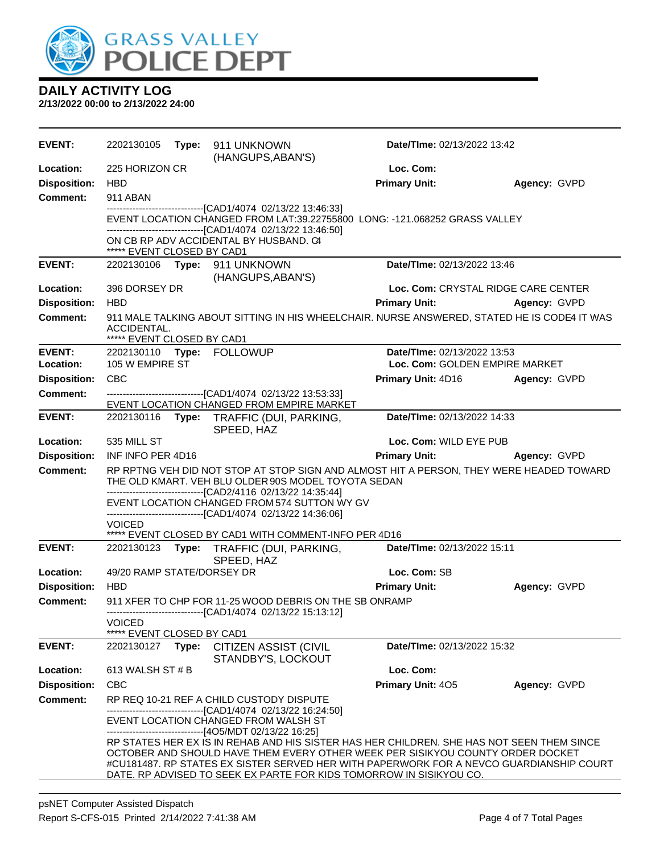

| <b>EVENT:</b>       | 2202130105                                                                                                                                                                                                     |       | Type: 911 UNKNOWN<br>(HANGUPS, ABAN'S)                                                                           | Date/TIme: 02/13/2022 13:42                                                                                                                                                                                                                                                                                                                   |                                     |
|---------------------|----------------------------------------------------------------------------------------------------------------------------------------------------------------------------------------------------------------|-------|------------------------------------------------------------------------------------------------------------------|-----------------------------------------------------------------------------------------------------------------------------------------------------------------------------------------------------------------------------------------------------------------------------------------------------------------------------------------------|-------------------------------------|
| Location:           | 225 HORIZON CR                                                                                                                                                                                                 |       |                                                                                                                  | Loc. Com:                                                                                                                                                                                                                                                                                                                                     |                                     |
| <b>Disposition:</b> | <b>HBD</b>                                                                                                                                                                                                     |       |                                                                                                                  | <b>Primary Unit:</b>                                                                                                                                                                                                                                                                                                                          | Agency: GVPD                        |
| Comment:            | 911 ABAN                                                                                                                                                                                                       |       |                                                                                                                  |                                                                                                                                                                                                                                                                                                                                               |                                     |
|                     |                                                                                                                                                                                                                |       | ---------------------------------[CAD1/4074 02/13/22 13:46:33]                                                   | EVENT LOCATION CHANGED FROM LAT:39.22755800 LONG: -121.068252 GRASS VALLEY                                                                                                                                                                                                                                                                    |                                     |
|                     |                                                                                                                                                                                                                |       | -------------------------------[CAD1/4074_02/13/22 13:46:50]                                                     |                                                                                                                                                                                                                                                                                                                                               |                                     |
|                     | ***** EVENT CLOSED BY CAD1                                                                                                                                                                                     |       | ON CB RP ADV ACCIDENTAL BY HUSBAND. C4                                                                           |                                                                                                                                                                                                                                                                                                                                               |                                     |
| <b>EVENT:</b>       | 2202130106                                                                                                                                                                                                     |       | Type: 911 UNKNOWN                                                                                                | Date/TIme: 02/13/2022 13:46                                                                                                                                                                                                                                                                                                                   |                                     |
|                     |                                                                                                                                                                                                                |       | (HANGUPS, ABAN'S)                                                                                                |                                                                                                                                                                                                                                                                                                                                               |                                     |
| Location:           | 396 DORSEY DR                                                                                                                                                                                                  |       |                                                                                                                  |                                                                                                                                                                                                                                                                                                                                               | Loc. Com: CRYSTAL RIDGE CARE CENTER |
| <b>Disposition:</b> | <b>HBD</b>                                                                                                                                                                                                     |       |                                                                                                                  | <b>Primary Unit:</b>                                                                                                                                                                                                                                                                                                                          | Agency: GVPD                        |
| Comment:            | ACCIDENTAL.<br>***** EVENT CLOSED BY CAD1                                                                                                                                                                      |       |                                                                                                                  | 911 MALE TALKING ABOUT SITTING IN HIS WHEELCHAIR. NURSE ANSWERED, STATED HE IS CODE4 IT WAS                                                                                                                                                                                                                                                   |                                     |
| <b>EVENT:</b>       |                                                                                                                                                                                                                |       | 2202130110 Type: FOLLOWUP                                                                                        | Date/TIme: 02/13/2022 13:53                                                                                                                                                                                                                                                                                                                   |                                     |
| Location:           | 105 W EMPIRE ST                                                                                                                                                                                                |       |                                                                                                                  | Loc. Com: GOLDEN EMPIRE MARKET                                                                                                                                                                                                                                                                                                                |                                     |
| <b>Disposition:</b> | <b>CBC</b>                                                                                                                                                                                                     |       |                                                                                                                  | Primary Unit: 4D16                                                                                                                                                                                                                                                                                                                            | Agency: GVPD                        |
| <b>Comment:</b>     |                                                                                                                                                                                                                |       | -------------------------------[CAD1/4074 02/13/22 13:53:33]                                                     |                                                                                                                                                                                                                                                                                                                                               |                                     |
|                     |                                                                                                                                                                                                                |       | EVENT LOCATION CHANGED FROM EMPIRE MARKET                                                                        |                                                                                                                                                                                                                                                                                                                                               |                                     |
| <b>EVENT:</b>       | 2202130116                                                                                                                                                                                                     |       | Type: TRAFFIC (DUI, PARKING,<br>SPEED, HAZ                                                                       | Date/TIme: 02/13/2022 14:33                                                                                                                                                                                                                                                                                                                   |                                     |
| Location:           | 535 MILL ST                                                                                                                                                                                                    |       |                                                                                                                  | Loc. Com: WILD EYE PUB                                                                                                                                                                                                                                                                                                                        |                                     |
| <b>Disposition:</b> | INF INFO PER 4D16                                                                                                                                                                                              |       |                                                                                                                  | <b>Primary Unit:</b>                                                                                                                                                                                                                                                                                                                          | Agency: GVPD                        |
| <b>Comment:</b>     | RP RPTNG VEH DID NOT STOP AT STOP SIGN AND ALMOST HIT A PERSON, THEY WERE HEADED TOWARD<br>THE OLD KMART. VEH BLU OLDER 90S MODEL TOYOTA SEDAN<br>-------------------------------[CAD2/4116 02/13/22 14:35:44] |       |                                                                                                                  |                                                                                                                                                                                                                                                                                                                                               |                                     |
|                     |                                                                                                                                                                                                                |       | EVENT LOCATION CHANGED FROM 574 SUTTON WY GV<br>------------------------------[CAD1/4074 02/13/22 14:36:06]      |                                                                                                                                                                                                                                                                                                                                               |                                     |
|                     | <b>VOICED</b>                                                                                                                                                                                                  |       |                                                                                                                  |                                                                                                                                                                                                                                                                                                                                               |                                     |
|                     |                                                                                                                                                                                                                |       | ***** EVENT CLOSED BY CAD1 WITH COMMENT-INFO PER 4D16                                                            |                                                                                                                                                                                                                                                                                                                                               |                                     |
| <b>EVENT:</b>       |                                                                                                                                                                                                                |       | 2202130123 Type: TRAFFIC (DUI, PARKING,<br>SPEED, HAZ                                                            | Date/TIme: 02/13/2022 15:11                                                                                                                                                                                                                                                                                                                   |                                     |
| Location:           | 49/20 RAMP STATE/DORSEY DR                                                                                                                                                                                     |       |                                                                                                                  | Loc. Com: SB                                                                                                                                                                                                                                                                                                                                  |                                     |
| <b>Disposition:</b> | <b>HBD</b>                                                                                                                                                                                                     |       |                                                                                                                  | <b>Primary Unit:</b>                                                                                                                                                                                                                                                                                                                          | Agency: GVPD                        |
| <b>Comment:</b>     |                                                                                                                                                                                                                |       | 911 XFER TO CHP FOR 11-25 WOOD DEBRIS ON THE SB ONRAMP<br>-------------------------[CAD1/4074_02/13/22 15:13:12] |                                                                                                                                                                                                                                                                                                                                               |                                     |
|                     | <b>VOICED</b>                                                                                                                                                                                                  |       |                                                                                                                  |                                                                                                                                                                                                                                                                                                                                               |                                     |
|                     | ***** EVENT CLOSED BY CAD1                                                                                                                                                                                     |       |                                                                                                                  |                                                                                                                                                                                                                                                                                                                                               |                                     |
| <b>EVENT:</b>       | 2202130127                                                                                                                                                                                                     | Type: | <b>CITIZEN ASSIST (CIVIL</b><br>STANDBY'S, LOCKOUT                                                               | Date/TIme: 02/13/2022 15:32                                                                                                                                                                                                                                                                                                                   |                                     |
| Location:           | 613 WALSH ST # B                                                                                                                                                                                               |       |                                                                                                                  | Loc. Com:                                                                                                                                                                                                                                                                                                                                     |                                     |
| <b>Disposition:</b> | <b>CBC</b>                                                                                                                                                                                                     |       |                                                                                                                  | Primary Unit: 405                                                                                                                                                                                                                                                                                                                             | Agency: GVPD                        |
| <b>Comment:</b>     |                                                                                                                                                                                                                |       | RP REQ 10-21 REF A CHILD CUSTODY DISPUTE<br>-------------------------------[CAD1/4074_02/13/22 16:24:50]         |                                                                                                                                                                                                                                                                                                                                               |                                     |
|                     |                                                                                                                                                                                                                |       | EVENT LOCATION CHANGED FROM WALSH ST<br>------------------------------[4O5/MDT 02/13/22 16:25]                   |                                                                                                                                                                                                                                                                                                                                               |                                     |
|                     |                                                                                                                                                                                                                |       |                                                                                                                  | RP STATES HER EX IS IN REHAB AND HIS SISTER HAS HER CHILDREN. SHE HAS NOT SEEN THEM SINCE<br>OCTOBER AND SHOULD HAVE THEM EVERY OTHER WEEK PER SISIKYOU COUNTY ORDER DOCKET<br>#CU181487. RP STATES EX SISTER SERVED HER WITH PAPERWORK FOR A NEVCO GUARDIANSHIP COURT<br>DATE. RP ADVISED TO SEEK EX PARTE FOR KIDS TOMORROW IN SISIKYOU CO. |                                     |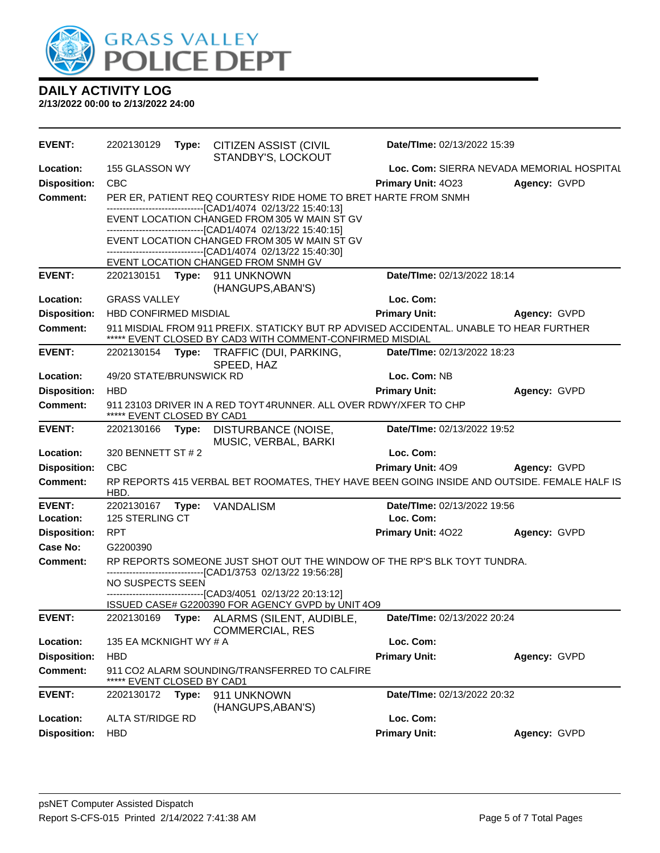

| <b>EVENT:</b>       | 2202130129                                                                                      | Type: | <b>CITIZEN ASSIST (CIVIL</b><br>STANDBY'S, LOCKOUT                                                                                                   | Date/TIme: 02/13/2022 15:39               |              |  |
|---------------------|-------------------------------------------------------------------------------------------------|-------|------------------------------------------------------------------------------------------------------------------------------------------------------|-------------------------------------------|--------------|--|
| Location:           | 155 GLASSON WY                                                                                  |       |                                                                                                                                                      | Loc. Com: SIERRA NEVADA MEMORIAL HOSPITAL |              |  |
| <b>Disposition:</b> | <b>CBC</b>                                                                                      |       |                                                                                                                                                      | Primary Unit: 4023                        | Agency: GVPD |  |
| <b>Comment:</b>     |                                                                                                 |       | PER ER, PATIENT REQ COURTESY RIDE HOME TO BRET HARTE FROM SNMH<br>-------------------------------[CAD1/4074 02/13/22 15:40:13]                       |                                           |              |  |
|                     |                                                                                                 |       | EVENT LOCATION CHANGED FROM 305 W MAIN ST GV<br>----------------------[CAD1/4074_02/13/22 15:40:15]                                                  |                                           |              |  |
|                     |                                                                                                 |       | EVENT LOCATION CHANGED FROM 305 W MAIN ST GV<br>-------------------------------[CAD1/4074_02/13/22 15:40:30]                                         |                                           |              |  |
|                     |                                                                                                 |       | EVENT LOCATION CHANGED FROM SNMH GV                                                                                                                  |                                           |              |  |
| <b>EVENT:</b>       |                                                                                                 |       | 2202130151 Type: 911 UNKNOWN<br>(HANGUPS, ABAN'S)                                                                                                    | Date/TIme: 02/13/2022 18:14               |              |  |
| Location:           | <b>GRASS VALLEY</b>                                                                             |       |                                                                                                                                                      | Loc. Com:                                 |              |  |
| <b>Disposition:</b> | HBD CONFIRMED MISDIAL                                                                           |       |                                                                                                                                                      | <b>Primary Unit:</b>                      | Agency: GVPD |  |
| <b>Comment:</b>     |                                                                                                 |       | 911 MISDIAL FROM 911 PREFIX. STATICKY BUT RP ADVISED ACCIDENTAL. UNABLE TO HEAR FURTHER<br>***** EVENT CLOSED BY CAD3 WITH COMMENT-CONFIRMED MISDIAL |                                           |              |  |
| <b>EVENT:</b>       | 2202130154 Type:                                                                                |       | TRAFFIC (DUI, PARKING,<br>SPEED, HAZ                                                                                                                 | Date/TIme: 02/13/2022 18:23               |              |  |
| Location:           | 49/20 STATE/BRUNSWICK RD                                                                        |       |                                                                                                                                                      | Loc. Com: NB                              |              |  |
| <b>Disposition:</b> | <b>HBD</b>                                                                                      |       |                                                                                                                                                      | <b>Primary Unit:</b>                      | Agency: GVPD |  |
| Comment:            | 911 23103 DRIVER IN A RED TOYT 4RUNNER. ALL OVER RDWY/XFER TO CHP<br>***** EVENT CLOSED BY CAD1 |       |                                                                                                                                                      |                                           |              |  |
| <b>EVENT:</b>       | 2202130166                                                                                      | Type: | DISTURBANCE (NOISE,<br>MUSIC, VERBAL, BARKI                                                                                                          | Date/TIme: 02/13/2022 19:52               |              |  |
| Location:           | 320 BENNETT ST # 2                                                                              |       |                                                                                                                                                      | Loc. Com:                                 |              |  |
| <b>Disposition:</b> | <b>CBC</b>                                                                                      |       |                                                                                                                                                      | Primary Unit: 409                         | Agency: GVPD |  |
| <b>Comment:</b>     | HBD.                                                                                            |       | RP REPORTS 415 VERBAL BET ROOMATES, THEY HAVE BEEN GOING INSIDE AND OUTSIDE. FEMALE HALF IS                                                          |                                           |              |  |
| <b>EVENT:</b>       | 2202130167 Type:                                                                                |       | <b>VANDALISM</b>                                                                                                                                     | Date/TIme: 02/13/2022 19:56               |              |  |
| Location:           | 125 STERLING CT                                                                                 |       |                                                                                                                                                      | Loc. Com:                                 |              |  |
| <b>Disposition:</b> | <b>RPT</b>                                                                                      |       |                                                                                                                                                      | Primary Unit: 4022                        | Agency: GVPD |  |
| Case No:            | G2200390                                                                                        |       |                                                                                                                                                      |                                           |              |  |
| <b>Comment:</b>     |                                                                                                 |       | RP REPORTS SOMEONE JUST SHOT OUT THE WINDOW OF THE RP'S BLK TOYT TUNDRA.<br>-------------------------[CAD1/3753 02/13/22 19:56:28]                   |                                           |              |  |
|                     | <b>NO SUSPECTS SEEN</b>                                                                         |       | -------------------------------[CAD3/4051 02/13/22 20:13:12]                                                                                         |                                           |              |  |
|                     |                                                                                                 |       | ISSUED CASE# G2200390 FOR AGENCY GVPD by UNIT 4O9                                                                                                    |                                           |              |  |
| <b>EVENT:</b>       |                                                                                                 |       | 2202130169 Type: ALARMS (SILENT, AUDIBLE,<br><b>COMMERCIAL, RES</b>                                                                                  | Date/TIme: 02/13/2022 20:24               |              |  |
| Location:           | 135 EA MCKNIGHT WY # A                                                                          |       |                                                                                                                                                      | Loc. Com:                                 |              |  |
| <b>Disposition:</b> | <b>HBD</b>                                                                                      |       |                                                                                                                                                      | <b>Primary Unit:</b>                      | Agency: GVPD |  |
| <b>Comment:</b>     | EVENT CLOSED BY CAD1                                                                            |       | 911 CO2 ALARM SOUNDING/TRANSFERRED TO CALFIRE                                                                                                        |                                           |              |  |
| <b>EVENT:</b>       | 2202130172                                                                                      | Type: | 911 UNKNOWN<br>(HANGUPS, ABAN'S)                                                                                                                     | Date/TIme: 02/13/2022 20:32               |              |  |
| Location:           | ALTA ST/RIDGE RD                                                                                |       |                                                                                                                                                      | Loc. Com:                                 |              |  |
| <b>Disposition:</b> | <b>HBD</b>                                                                                      |       |                                                                                                                                                      | <b>Primary Unit:</b>                      | Agency: GVPD |  |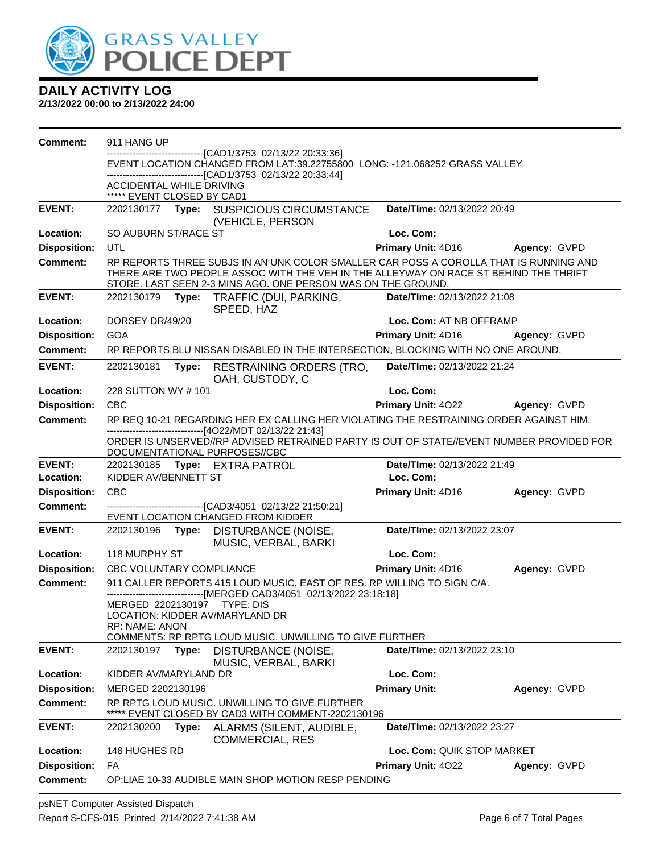

**2/13/2022 00:00 to 2/13/2022 24:00**

| <b>Comment:</b>     | 911 HANG UP                                                                                                                                        |       |                                                                                                                                                                                                                                               |                                 |              |
|---------------------|----------------------------------------------------------------------------------------------------------------------------------------------------|-------|-----------------------------------------------------------------------------------------------------------------------------------------------------------------------------------------------------------------------------------------------|---------------------------------|--------------|
|                     |                                                                                                                                                    |       | --------------------[CAD1/3753 02/13/22 20:33:36]<br>EVENT LOCATION CHANGED FROM LAT:39.22755800 LONG: -121.068252 GRASS VALLEY                                                                                                               |                                 |              |
|                     |                                                                                                                                                    |       | -------------------------------[CAD1/3753 02/13/22 20:33:44]                                                                                                                                                                                  |                                 |              |
|                     | <b>ACCIDENTAL WHILE DRIVING</b><br>***** EVENT CLOSED BY CAD1                                                                                      |       |                                                                                                                                                                                                                                               |                                 |              |
| <b>EVENT:</b>       |                                                                                                                                                    |       | 2202130177 Type: SUSPICIOUS CIRCUMSTANCE<br>(VEHICLE, PERSON                                                                                                                                                                                  | Date/TIme: 02/13/2022 20:49     |              |
| Location:           | SO AUBURN ST/RACE ST                                                                                                                               |       |                                                                                                                                                                                                                                               | Loc. Com:                       |              |
| <b>Disposition:</b> | <b>UTL</b>                                                                                                                                         |       |                                                                                                                                                                                                                                               | Primary Unit: 4D16              | Agency: GVPD |
| <b>Comment:</b>     |                                                                                                                                                    |       | RP REPORTS THREE SUBJS IN AN UNK COLOR SMALLER CAR POSS A COROLLA THAT IS RUNNING AND<br>THERE ARE TWO PEOPLE ASSOC WITH THE VEH IN THE ALLEYWAY ON RACE ST BEHIND THE THRIFT<br>STORE. LAST SEEN 2-3 MINS AGO. ONE PERSON WAS ON THE GROUND. |                                 |              |
| <b>EVENT:</b>       |                                                                                                                                                    |       | 2202130179 Type: TRAFFIC (DUI, PARKING,<br>SPEED, HAZ                                                                                                                                                                                         | Date/TIme: 02/13/2022 21:08     |              |
| Location:           | DORSEY DR/49/20                                                                                                                                    |       |                                                                                                                                                                                                                                               | Loc. Com: AT NB OFFRAMP         |              |
| <b>Disposition:</b> | <b>GOA</b>                                                                                                                                         |       |                                                                                                                                                                                                                                               | Primary Unit: 4D16              | Agency: GVPD |
| <b>Comment:</b>     |                                                                                                                                                    |       | RP REPORTS BLU NISSAN DISABLED IN THE INTERSECTION, BLOCKING WITH NO ONE AROUND.                                                                                                                                                              |                                 |              |
| <b>EVENT:</b>       | 2202130181                                                                                                                                         |       | Type: RESTRAINING ORDERS (TRO,<br>OAH, CUSTODY, C                                                                                                                                                                                             | Date/TIme: 02/13/2022 21:24     |              |
| Location:           | 228 SUTTON WY #101                                                                                                                                 |       |                                                                                                                                                                                                                                               | Loc. Com:                       |              |
| <b>Disposition:</b> | <b>CBC</b>                                                                                                                                         |       |                                                                                                                                                                                                                                               | Primary Unit: 4022 Agency: GVPD |              |
| Comment:            | RP REQ 10-21 REGARDING HER EX CALLING HER VIOLATING THE RESTRAINING ORDER AGAINST HIM.<br>-------------------------------[4O22/MDT 02/13/22 21:43] |       |                                                                                                                                                                                                                                               |                                 |              |
|                     |                                                                                                                                                    |       | ORDER IS UNSERVED//RP ADVISED RETRAINED PARTY IS OUT OF STATE//EVENT NUMBER PROVIDED FOR<br>DOCUMENTATIONAL PURPOSES//CBC                                                                                                                     |                                 |              |
| <b>EVENT:</b>       |                                                                                                                                                    |       | 2202130185 Type: EXTRA PATROL                                                                                                                                                                                                                 | Date/TIme: 02/13/2022 21:49     |              |
| Location:           | KIDDER AV/BENNETT ST                                                                                                                               |       |                                                                                                                                                                                                                                               | Loc. Com:                       |              |
| <b>Disposition:</b> | <b>CBC</b>                                                                                                                                         |       |                                                                                                                                                                                                                                               | Primary Unit: 4D16              | Agency: GVPD |
| <b>Comment:</b>     |                                                                                                                                                    |       | --------------------------------[CAD3/4051 02/13/22 21:50:21]<br>EVENT LOCATION CHANGED FROM KIDDER                                                                                                                                           |                                 |              |
| <b>EVENT:</b>       |                                                                                                                                                    |       | 2202130196 Type: DISTURBANCE (NOISE,<br>MUSIC, VERBAL, BARKI                                                                                                                                                                                  | Date/TIme: 02/13/2022 23:07     |              |
| Location:           | 118 MURPHY ST                                                                                                                                      |       |                                                                                                                                                                                                                                               | Loc. Com:                       |              |
| <b>Disposition:</b> | <b>CBC VOLUNTARY COMPLIANCE</b>                                                                                                                    |       |                                                                                                                                                                                                                                               | Primary Unit: 4D16              | Agency: GVPD |
| <b>Comment:</b>     |                                                                                                                                                    |       | 911 CALLER REPORTS 415 LOUD MUSIC, EAST OF RES. RP WILLING TO SIGN C/A.                                                                                                                                                                       |                                 |              |
|                     | MERGED 2202130197 TYPE: DIS<br><b>RP: NAME: ANON</b>                                                                                               |       | ------------------------------[MERGED CAD3/4051 02/13/2022 23:18:18]<br>LOCATION: KIDDER AV/MARYLAND DR<br>COMMENTS: RP RPTG LOUD MUSIC. UNWILLING TO GIVE FURTHER                                                                            |                                 |              |
| <b>EVENT:</b>       | 2202130197                                                                                                                                         | Type: | DISTURBANCE (NOISE,                                                                                                                                                                                                                           | Date/TIme: 02/13/2022 23:10     |              |
|                     |                                                                                                                                                    |       | MUSIC, VERBAL, BARKI                                                                                                                                                                                                                          |                                 |              |
| Location:           | KIDDER AV/MARYLAND DR                                                                                                                              |       |                                                                                                                                                                                                                                               | Loc. Com:                       |              |
| <b>Disposition:</b> | MERGED 2202130196                                                                                                                                  |       |                                                                                                                                                                                                                                               | <b>Primary Unit:</b>            | Agency: GVPD |
| <b>Comment:</b>     |                                                                                                                                                    |       | RP RPTG LOUD MUSIC. UNWILLING TO GIVE FURTHER<br>EVENT CLOSED BY CAD3 WITH COMMENT-2202130196                                                                                                                                                 |                                 |              |
| <b>EVENT:</b>       | 2202130200                                                                                                                                         | Type: | ALARMS (SILENT, AUDIBLE,<br><b>COMMERCIAL, RES</b>                                                                                                                                                                                            | Date/TIme: 02/13/2022 23:27     |              |
| Location:           | 148 HUGHES RD                                                                                                                                      |       |                                                                                                                                                                                                                                               | Loc. Com: QUIK STOP MARKET      |              |
| <b>Disposition:</b> | FA                                                                                                                                                 |       |                                                                                                                                                                                                                                               | Primary Unit: 4022              | Agency: GVPD |
| <b>Comment:</b>     |                                                                                                                                                    |       | OP:LIAE 10-33 AUDIBLE MAIN SHOP MOTION RESP PENDING                                                                                                                                                                                           |                                 |              |

psNET Computer Assisted Dispatch Report S-CFS-015 Printed 2/14/2022 7:41:38 AM Page 6 of 7 Total Pages